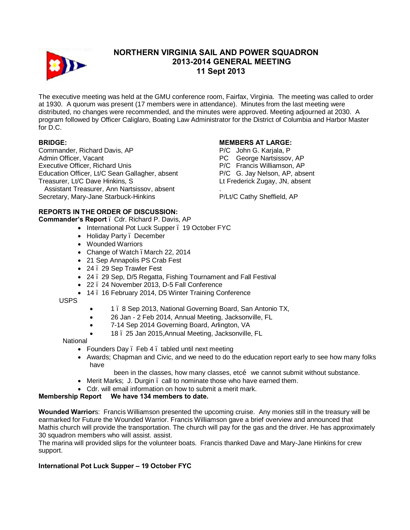

# **NORTHERN VIRGINIA SAIL AND POWER SQUADRON 2013-2014 GENERAL MEETING 11 Sept 2013**

The executive meeting was held at the GMU conference room, Fairfax, Virginia. The meeting was called to order at 1930. A quorum was present (17 members were in attendance). Minutes from the last meeting were distributed, no changes were recommended, and the minutes were approved. Meeting adjourned at 2030. A program followed by Officer Caliglaro, Boating Law Administrator for the District of Columbia and Harbor Master for D.C.

## **BRIDGE:**

Commander, Richard Davis, AP Admin Officer, Vacant Executive Officer, Richard Unis Education Officer, Lt/C Sean Gallagher, absent Treasurer, Lt/C Dave Hinkins, S Assistant Treasurer, Ann Nartsissov, absent Secretary, Mary-Jane Starbuck-Hinkins

## **MEMBERS AT LARGE:**

P/C John G. Kariala, P PC George Nartsissov, AP P/C Francis Williamson, AP P/C G. Jay Nelson, AP, absent Lt Frederick Zugay, JN, absent

. P/Lt/C Cathy Sheffield, AP

## **REPORTS IN THE ORDER OF DISCUSSION:**

**Commander's Report** – Cdr. Richard P. Davis, AP

- International Pot Luck Supper . 19 October FYC
- · Holiday Party December
- · Wounded Warriors
- Change of Watch . March 22, 2014
- · 21 Sep Annapolis PS Crab Fest
- · 24 29 Sep Trawler Fest
- · 24 29 Sep, D/5 Regatta, Fishing Tournament and Fall Festival
- · 22 24 November 2013, D-5 Fall Conference
- · 14 16 February 2014, D5 Winter Training Conference

USPS

- · 1 8 Sep 2013, National Governing Board, San Antonio TX,
- · 26 Jan 2 Feb 2014, Annual Meeting, Jacksonville, FL
- · 7-14 Sep 2014 Governing Board, Arlington, VA
- · 18 25 Jan 2015,Annual Meeting, Jacksonville, FL

National

- Founders Day . Feb 4 . tabled until next meeting
- · Awards; Chapman and Civic, and we need to do the education report early to see how many folks have

been in the classes, how many classes, etco we cannot submit without substance.

- Merit Marks; J. Durgin . call to nominate those who have earned them.
- · Cdr. will email information on how to submit a merit mark.

## **Membership Report We have 134 members to date.**

**Wounded Warrior**s: Francis Williamson presented the upcoming cruise. Any monies still in the treasury will be earmarked for Future the Wounded Warrior. Francis Williamson gave a brief overview and announced that Mathis church will provide the transportation. The church will pay for the gas and the driver. He has approximately 30 squadron members who will assist. assist.

The marina will provided slips for the volunteer boats. Francis thanked Dave and Mary-Jane Hinkins for crew support.

## **International Pot Luck Supper – 19 October FYC**